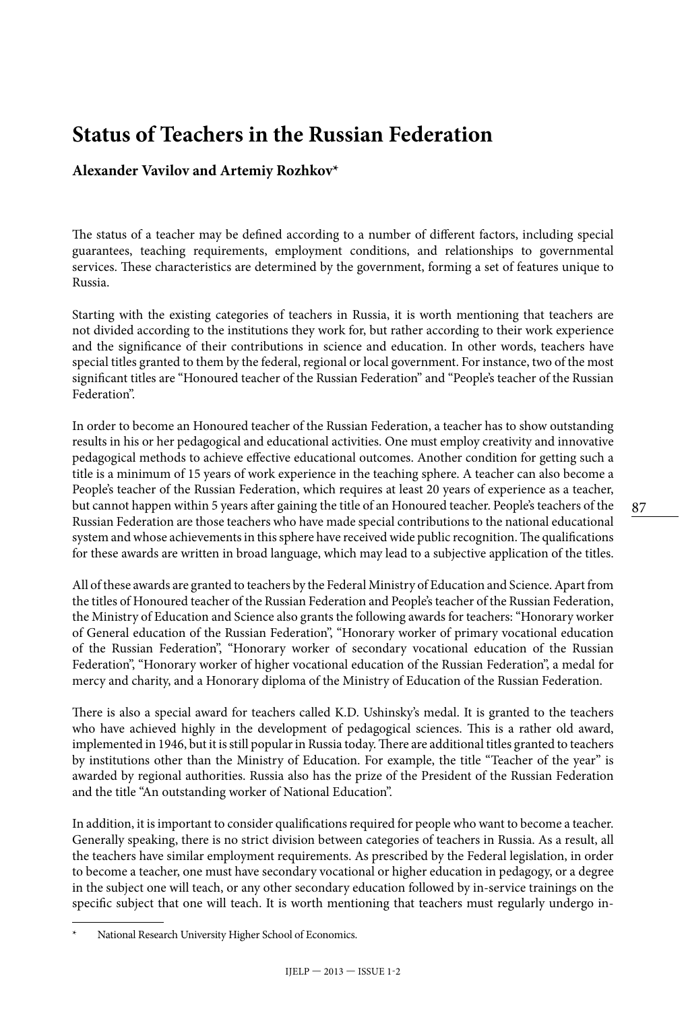## **Status of Teachers in the Russian Federation**

## **Alexander Vavilov and Artemiy Rozhkov\***

The status of a teacher may be defined according to a number of different factors, including special guarantees, teaching requirements, employment conditions, and relationships to governmental services. These characteristics are determined by the government, forming a set of features unique to Russia.

Starting with the existing categories of teachers in Russia, it is worth mentioning that teachers are not divided according to the institutions they work for, but rather according to their work experience and the significance of their contributions in science and education. In other words, teachers have special titles granted to them by the federal, regional or local government. For instance, two of the most significant titles are "Honoured teacher of the Russian Federation" and "People's teacher of the Russian Federation".

In order to become an Honoured teacher of the Russian Federation, a teacher has to show outstanding results in his or her pedagogical and educational activities. One must employ creativity and innovative pedagogical methods to achieve effective educational outcomes. Another condition for getting such a title is a minimum of 15 years of work experience in the teaching sphere. A teacher can also become a People's teacher of the Russian Federation, which requires at least 20 years of experience as a teacher, but cannot happen within 5 years after gaining the title of an Honoured teacher. People's teachers of the Russian Federation are those teachers who have made special contributions to the national educational system and whose achievements in this sphere have received wide public recognition. The qualifications for these awards are written in broad language, which may lead to a subjective application of the titles.

All of these awards are granted to teachers by the Federal Ministry of Education and Science. Apart from the titles of Honoured teacher of the Russian Federation and People's teacher of the Russian Federation, the Ministry of Education and Science also grants the following awards for teachers: "Honorary worker of General education of the Russian Federation", "Honorary worker of primary vocational education of the Russian Federation", "Honorary worker of secondary vocational education of the Russian Federation", "Honorary worker of higher vocational education of the Russian Federation", a medal for mercy and charity, and a Honorary diploma of the Ministry of Education of the Russian Federation.

There is also a special award for teachers called K.D. Ushinsky's medal. It is granted to the teachers who have achieved highly in the development of pedagogical sciences. This is a rather old award, implemented in 1946, but it is still popular in Russia today. There are additional titles granted to teachers by institutions other than the Ministry of Education. For example, the title "Teacher of the year" is awarded by regional authorities. Russia also has the prize of the President of the Russian Federation and the title "An outstanding worker of National Education".

In addition, it is important to consider qualifications required for people who want to become a teacher. Generally speaking, there is no strict division between categories of teachers in Russia. As a result, all the teachers have similar employment requirements. As prescribed by the Federal legislation, in order to become a teacher, one must have secondary vocational or higher education in pedagogy, or a degree in the subject one will teach, or any other secondary education followed by in-service trainings on the specific subject that one will teach. It is worth mentioning that teachers must regularly undergo in-

National Research University Higher School of Economics.